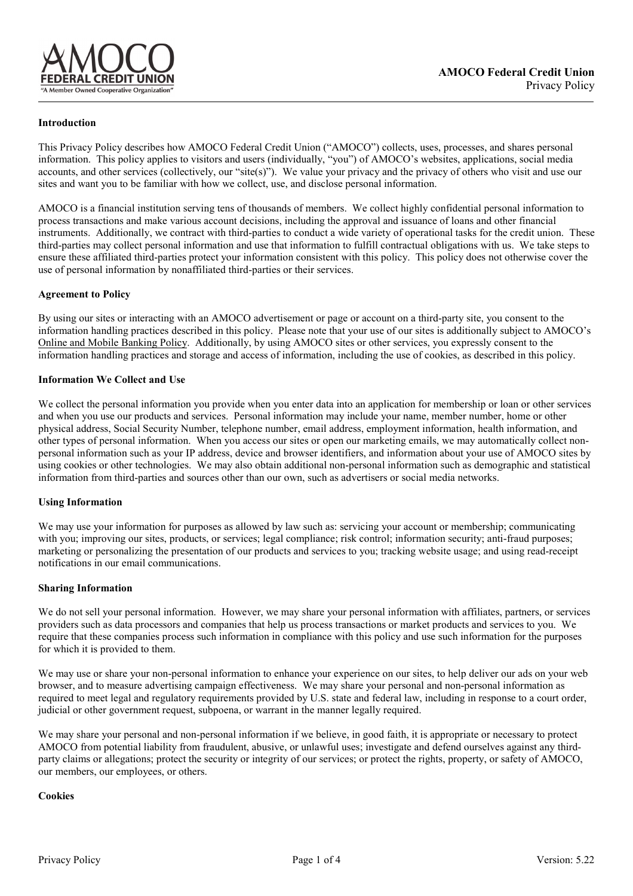

### **Introduction**

This Privacy Policy describes how AMOCO Federal Credit Union ("AMOCO") collects, uses, processes, and shares personal information. This policy applies to visitors and users (individually, "you") of AMOCO's websites, applications, social media accounts, and other services (collectively, our "site(s)"). We value your privacy and the privacy of others who visit and use our sites and want you to be familiar with how we collect, use, and disclose personal information.

AMOCO is a financial institution serving tens of thousands of members. We collect highly confidential personal information to process transactions and make various account decisions, including the approval and issuance of loans and other financial instruments. Additionally, we contract with third-parties to conduct a wide variety of operational tasks for the credit union. These third-parties may collect personal information and use that information to fulfill contractual obligations with us. We take steps to ensure these affiliated third-parties protect your information consistent with this policy. This policy does not otherwise cover the use of personal information by nonaffiliated third-parties or their services.

### **Agreement to Policy**

By using our sites or interacting with an AMOCO advertisement or page or account on a third-party site, you consent to the information handling practices described in this policy. Please note that your use of our sites is additionally subject to AMOCO's Online and Mobile Banking Policy. Additionally, by using AMOCO sites or other services, you expressly consent to the information handling practices and storage and access of information, including the use of cookies, as described in this policy.

### **Information We Collect and Use**

We collect the personal information you provide when you enter data into an application for membership or loan or other services and when you use our products and services. Personal information may include your name, member number, home or other physical address, Social Security Number, telephone number, email address, employment information, health information, and other types of personal information. When you access our sites or open our marketing emails, we may automatically collect nonpersonal information such as your IP address, device and browser identifiers, and information about your use of AMOCO sites by using cookies or other technologies. We may also obtain additional non-personal information such as demographic and statistical information from third-parties and sources other than our own, such as advertisers or social media networks.

#### **Using Information**

We may use your information for purposes as allowed by law such as: servicing your account or membership; communicating with you; improving our sites, products, or services; legal compliance; risk control; information security; anti-fraud purposes; marketing or personalizing the presentation of our products and services to you; tracking website usage; and using read-receipt notifications in our email communications.

#### **Sharing Information**

We do not sell your personal information. However, we may share your personal information with affiliates, partners, or services providers such as data processors and companies that help us process transactions or market products and services to you. We require that these companies process such information in compliance with this policy and use such information for the purposes for which it is provided to them.

We may use or share your non-personal information to enhance your experience on our sites, to help deliver our ads on your web browser, and to measure advertising campaign effectiveness. We may share your personal and non-personal information as required to meet legal and regulatory requirements provided by U.S. state and federal law, including in response to a court order, judicial or other government request, subpoena, or warrant in the manner legally required.

We may share your personal and non-personal information if we believe, in good faith, it is appropriate or necessary to protect AMOCO from potential liability from fraudulent, abusive, or unlawful uses; investigate and defend ourselves against any thirdparty claims or allegations; protect the security or integrity of our services; or protect the rights, property, or safety of AMOCO, our members, our employees, or others.

#### **Cookies**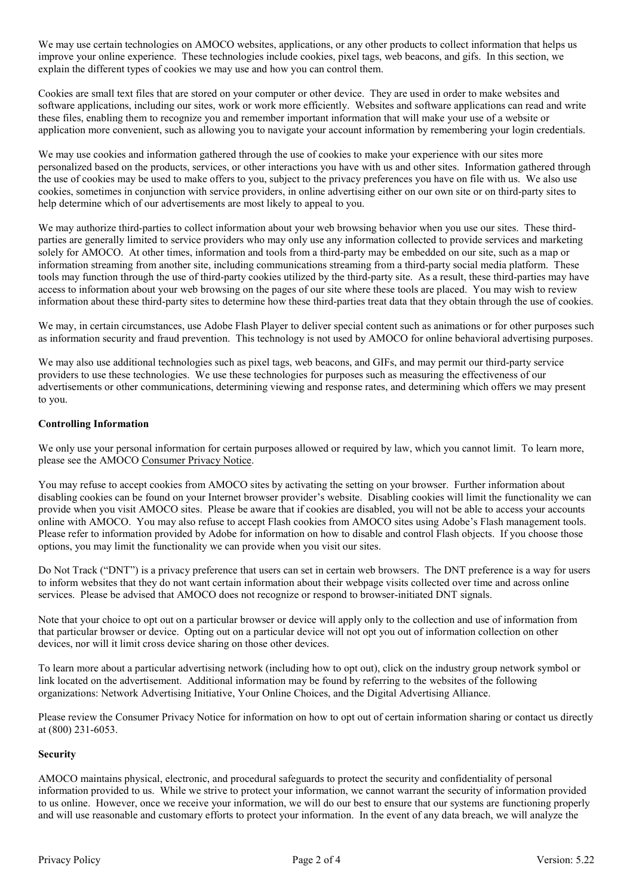We may use certain technologies on AMOCO websites, applications, or any other products to collect information that helps us improve your online experience. These technologies include cookies, pixel tags, web beacons, and gifs. In this section, we explain the different types of cookies we may use and how you can control them.

Cookies are small text files that are stored on your computer or other device. They are used in order to make websites and software applications, including our sites, work or work more efficiently. Websites and software applications can read and write these files, enabling them to recognize you and remember important information that will make your use of a website or application more convenient, such as allowing you to navigate your account information by remembering your login credentials.

We may use cookies and information gathered through the use of cookies to make your experience with our sites more personalized based on the products, services, or other interactions you have with us and other sites. Information gathered through the use of cookies may be used to make offers to you, subject to the privacy preferences you have on file with us. We also use cookies, sometimes in conjunction with service providers, in online advertising either on our own site or on third-party sites to help determine which of our advertisements are most likely to appeal to you.

We may authorize third-parties to collect information about your web browsing behavior when you use our sites. These thirdparties are generally limited to service providers who may only use any information collected to provide services and marketing solely for AMOCO. At other times, information and tools from a third-party may be embedded on our site, such as a map or information streaming from another site, including communications streaming from a third-party social media platform. These tools may function through the use of third-party cookies utilized by the third-party site. As a result, these third-parties may have access to information about your web browsing on the pages of our site where these tools are placed. You may wish to review information about these third-party sites to determine how these third-parties treat data that they obtain through the use of cookies.

We may, in certain circumstances, use Adobe Flash Player to deliver special content such as animations or for other purposes such as information security and fraud prevention. This technology is not used by AMOCO for online behavioral advertising purposes.

We may also use additional technologies such as pixel tags, web beacons, and GIFs, and may permit our third-party service providers to use these technologies. We use these technologies for purposes such as measuring the effectiveness of our advertisements or other communications, determining viewing and response rates, and determining which offers we may present to you.

## **Controlling Information**

We only use your personal information for certain purposes allowed or required by law, which you cannot limit. To learn more, please see the AMOCO Consumer Privacy Notice.

You may refuse to accept cookies from AMOCO sites by activating the setting on your browser. Further information about disabling cookies can be found on your Internet browser provider's website. Disabling cookies will limit the functionality we can provide when you visit AMOCO sites. Please be aware that if cookies are disabled, you will not be able to access your accounts online with AMOCO. You may also refuse to accept Flash cookies from AMOCO sites using Adobe's Flash management tools. Please refer to information provided by Adobe for information on how to disable and control Flash objects. If you choose those options, you may limit the functionality we can provide when you visit our sites.

Do Not Track ("DNT") is a privacy preference that users can set in certain web browsers. The DNT preference is a way for users to inform websites that they do not want certain information about their webpage visits collected over time and across online services. Please be advised that AMOCO does not recognize or respond to browser-initiated DNT signals.

Note that your choice to opt out on a particular browser or device will apply only to the collection and use of information from that particular browser or device. Opting out on a particular device will not opt you out of information collection on other devices, nor will it limit cross device sharing on those other devices.

To learn more about a particular advertising network (including how to opt out), click on the industry group network symbol or link located on the advertisement. Additional information may be found by referring to the websites of the following organizations: Network Advertising Initiative, Your Online Choices, and the Digital Advertising Alliance.

Please review the Consumer Privacy Notice for information on how to opt out of certain information sharing or contact us directly at (800) 231-6053.

# **Security**

AMOCO maintains physical, electronic, and procedural safeguards to protect the security and confidentiality of personal information provided to us. While we strive to protect your information, we cannot warrant the security of information provided to us online. However, once we receive your information, we will do our best to ensure that our systems are functioning properly and will use reasonable and customary efforts to protect your information. In the event of any data breach, we will analyze the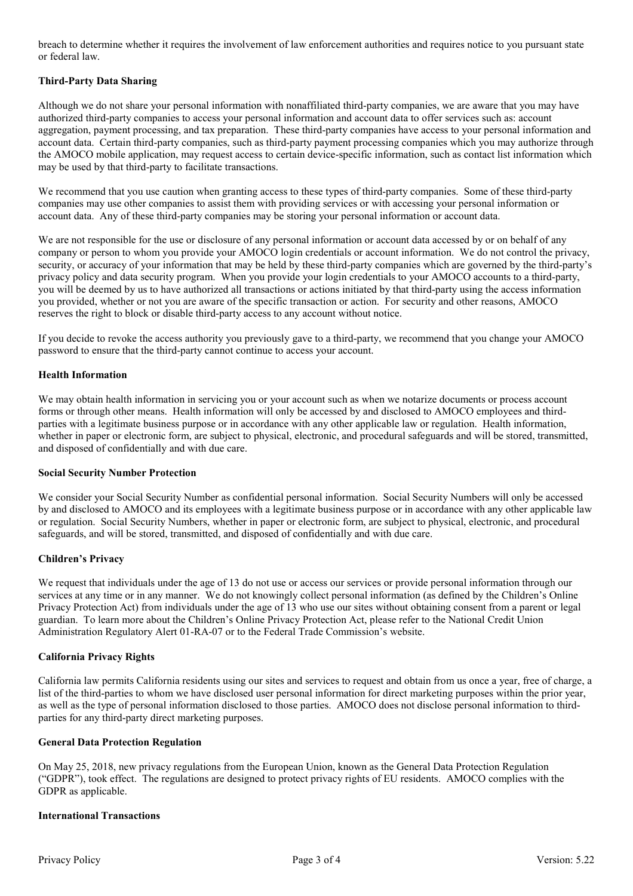breach to determine whether it requires the involvement of law enforcement authorities and requires notice to you pursuant state or federal law.

## **Third-Party Data Sharing**

Although we do not share your personal information with nonaffiliated third-party companies, we are aware that you may have authorized third-party companies to access your personal information and account data to offer services such as: account aggregation, payment processing, and tax preparation. These third-party companies have access to your personal information and account data. Certain third-party companies, such as third-party payment processing companies which you may authorize through the AMOCO mobile application, may request access to certain device-specific information, such as contact list information which may be used by that third-party to facilitate transactions.

We recommend that you use caution when granting access to these types of third-party companies. Some of these third-party companies may use other companies to assist them with providing services or with accessing your personal information or account data. Any of these third-party companies may be storing your personal information or account data.

We are not responsible for the use or disclosure of any personal information or account data accessed by or on behalf of any company or person to whom you provide your AMOCO login credentials or account information. We do not control the privacy, security, or accuracy of your information that may be held by these third-party companies which are governed by the third-party's privacy policy and data security program. When you provide your login credentials to your AMOCO accounts to a third-party, you will be deemed by us to have authorized all transactions or actions initiated by that third-party using the access information you provided, whether or not you are aware of the specific transaction or action. For security and other reasons, AMOCO reserves the right to block or disable third-party access to any account without notice.

If you decide to revoke the access authority you previously gave to a third-party, we recommend that you change your AMOCO password to ensure that the third-party cannot continue to access your account.

## **Health Information**

We may obtain health information in servicing you or your account such as when we notarize documents or process account forms or through other means. Health information will only be accessed by and disclosed to AMOCO employees and thirdparties with a legitimate business purpose or in accordance with any other applicable law or regulation. Health information, whether in paper or electronic form, are subject to physical, electronic, and procedural safeguards and will be stored, transmitted, and disposed of confidentially and with due care.

### **Social Security Number Protection**

We consider your Social Security Number as confidential personal information. Social Security Numbers will only be accessed by and disclosed to AMOCO and its employees with a legitimate business purpose or in accordance with any other applicable law or regulation. Social Security Numbers, whether in paper or electronic form, are subject to physical, electronic, and procedural safeguards, and will be stored, transmitted, and disposed of confidentially and with due care.

#### **Children's Privacy**

We request that individuals under the age of 13 do not use or access our services or provide personal information through our services at any time or in any manner. We do not knowingly collect personal information (as defined by the Children's Online Privacy Protection Act) from individuals under the age of 13 who use our sites without obtaining consent from a parent or legal guardian. To learn more about the Children's Online Privacy Protection Act, please refer to the National Credit Union Administration Regulatory Alert 01-RA-07 or to the Federal Trade Commission's website.

## **California Privacy Rights**

California law permits California residents using our sites and services to request and obtain from us once a year, free of charge, a list of the third-parties to whom we have disclosed user personal information for direct marketing purposes within the prior year, as well as the type of personal information disclosed to those parties. AMOCO does not disclose personal information to thirdparties for any third-party direct marketing purposes.

#### **General Data Protection Regulation**

On May 25, 2018, new privacy regulations from the European Union, known as the General Data Protection Regulation ("GDPR"), took effect. The regulations are designed to protect privacy rights of EU residents. AMOCO complies with the GDPR as applicable.

### **International Transactions**